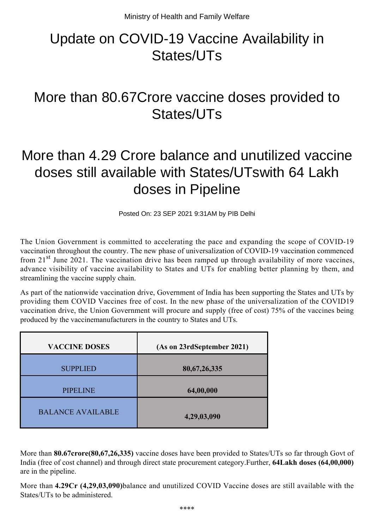## Update on COVID-19 Vaccine Availability in States/UTs

## More than 80.67Crore vaccine doses provided to States/UTs

## More than 4.29 Crore balance and unutilized vaccine doses still available with States/UTswith 64 Lakh doses in Pipeline

Posted On: 23 SEP 2021 9:31AM by PIB Delhi

The Union Government is committed to accelerating the pace and expanding the scope of COVID-19 vaccination throughout the country. The new phase of universalization of COVID-19 vaccination commenced from  $21<sup>st</sup>$  June 2021. The vaccination drive has been ramped up through availability of more vaccines, advance visibility of vaccine availability to States and UTs for enabling better planning by them, and streamlining the vaccine supply chain.

As part of the nationwide vaccination drive, Government of India has been supporting the States and UTs by providing them COVID Vaccines free of cost. In the new phase of the universalization of the COVID19 vaccination drive, the Union Government will procure and supply (free of cost) 75% of the vaccines being produced by the vaccinemanufacturers in the country to States and UTs.

| <b>VACCINE DOSES</b>     | (As on 23rdSeptember 2021) |
|--------------------------|----------------------------|
| <b>SUPPLIED</b>          | 80, 67, 26, 335            |
| <b>PIPELINE</b>          | 64,00,000                  |
| <b>BALANCE AVAILABLE</b> | 4,29,03,090                |

More than **80.67crore(80,67,26,335)** vaccine doses have been provided to States/UTs so far through Govt of India (free of cost channel) and through direct state procurement category.Further, **64Lakh doses (64,00,000)** are in the pipeline.

More than **4.29Cr (4,29,03,090)**balance and unutilized COVID Vaccine doses are still available with the States/UTs to be administered.